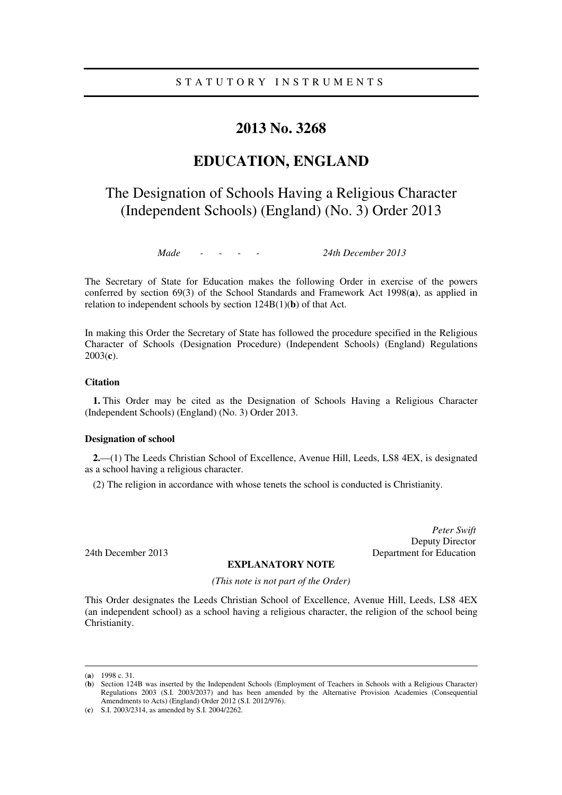### **2013 No. 3268**

## **EDUCATION, ENGLAND**

# The Designation of Schools Having a Religious Character (Independent Schools) (England) (No. 3) Order 2013

*Made - - - - 24th December 2013* 

The Secretary of State for Education makes the following Order in exercise of the powers conferred by section 69(3) of the School Standards and Framework Act 1998(**a**), as applied in relation to independent schools by section 124B(1)(**b**) of that Act.

In making this Order the Secretary of State has followed the procedure specified in the Religious Character of Schools (Designation Procedure) (Independent Schools) (England) Regulations 2003(**c**).

#### **Citation**

**1.** This Order may be cited as the Designation of Schools Having a Religious Character (Independent Schools) (England) (No. 3) Order 2013.

#### **Designation of school**

**2.**—(1) The Leeds Christian School of Excellence, Avenue Hill, Leeds, LS8 4EX, is designated as a school having a religious character.

(2) The religion in accordance with whose tenets the school is conducted is Christianity.

*Peter Swift*  Deputy Director 24th December 2013 Department for Education

#### **EXPLANATORY NOTE**

*(This note is not part of the Order)* 

This Order designates the Leeds Christian School of Excellence, Avenue Hill, Leeds, LS8 4EX (an independent school) as a school having a religious character, the religion of the school being Christianity.

<u>.</u>

<sup>(</sup>**a**) 1998 c. 31.

<sup>(</sup>**b**) Section 124B was inserted by the Independent Schools (Employment of Teachers in Schools with a Religious Character) Regulations 2003 (S.I. 2003/2037) and has been amended by the Alternative Provision Academies (Consequential Amendments to Acts) (England) Order 2012 (S.I. 2012/976).

<sup>(</sup>**c**) S.I. 2003/2314, as amended by S.I. 2004/2262.